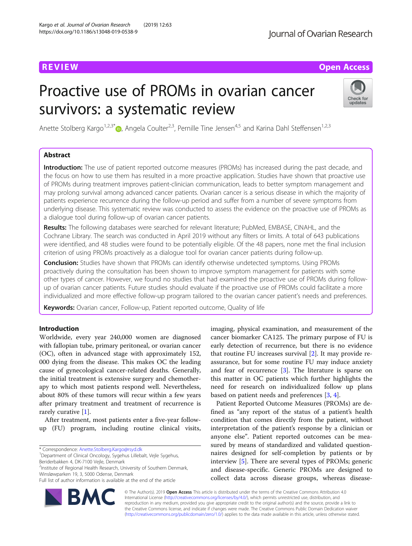# **REVIEW ACCESS AND LOCAL CONTRACT CONTRACT OF ACCESS**

# Proactive use of PROMs in ovarian cancer survivors: a systematic review



Anette Stolberg Kargo<sup>1[,](http://orcid.org/0000-0002-1950-8133)2,3\*</sup>  $\bullet$ , Angela Coulter<sup>2,3</sup>, Pernille Tine Jensen<sup>4,5</sup> and Karina Dahl Steffensen<sup>1,2,3</sup>

# Abstract

Introduction: The use of patient reported outcome measures (PROMs) has increased during the past decade, and the focus on how to use them has resulted in a more proactive application. Studies have shown that proactive use of PROMs during treatment improves patient-clinician communication, leads to better symptom management and may prolong survival among advanced cancer patients. Ovarian cancer is a serious disease in which the majority of patients experience recurrence during the follow-up period and suffer from a number of severe symptoms from underlying disease. This systematic review was conducted to assess the evidence on the proactive use of PROMs as a dialogue tool during follow-up of ovarian cancer patients.

Results: The following databases were searched for relevant literature; PubMed, EMBASE, CINAHL, and the Cochrane Library. The search was conducted in April 2019 without any filters or limits. A total of 643 publications were identified, and 48 studies were found to be potentially eligible. Of the 48 papers, none met the final inclusion criterion of using PROMs proactively as a dialogue tool for ovarian cancer patients during follow-up.

**Conclusion:** Studies have shown that PROMs can identify otherwise undetected symptoms. Using PROMs proactively during the consultation has been shown to improve symptom management for patients with some other types of cancer. However, we found no studies that had examined the proactive use of PROMs during followup of ovarian cancer patients. Future studies should evaluate if the proactive use of PROMs could facilitate a more individualized and more effective follow-up program tailored to the ovarian cancer patient's needs and preferences.

Keywords: Ovarian cancer, Follow-up, Patient reported outcome, Quality of life

# Introduction

Worldwide, every year 240,000 women are diagnosed with fallopian tube, primary peritoneal, or ovarian cancer (OC), often in advanced stage with approximately 152, 000 dying from the disease. This makes OC the leading cause of gynecological cancer-related deaths. Generally, the initial treatment is extensive surgery and chemotherapy to which most patients respond well. Nevertheless, about 80% of these tumors will recur within a few years after primary treatment and treatment of recurrence is rarely curative [\[1](#page-6-0)].

After treatment, most patients enter a five-year followup (FU) program, including routine clinical visits,

\* Correspondence: [Anette.Stolberg.Kargo@rsyd.dk](mailto:Anette.Stolberg.Kargo@rsyd.dk) <sup>1</sup>

<sup>2</sup>Institute of Regional Health Research, University of Southern Denmark, Winsløwparken 19, 3, 5000 Odense, Denmark

imaging, physical examination, and measurement of the cancer biomarker CA125. The primary purpose of FU is early detection of recurrence, but there is no evidence that routine FU increases survival [\[2](#page-6-0)]. It may provide reassurance, but for some routine FU may induce anxiety and fear of recurrence [\[3\]](#page-6-0). The literature is sparse on this matter in OC patients which further highlights the need for research on individualized follow up plans based on patient needs and preferences [\[3](#page-6-0), [4](#page-6-0)].

Patient Reported Outcome Measures (PROMs) are defined as "any report of the status of a patient's health condition that comes directly from the patient, without interpretation of the patient's response by a clinician or anyone else". Patient reported outcomes can be measured by means of standardized and validated questionnaires designed for self-completion by patients or by interview [[5\]](#page-6-0). There are several types of PROMs; generic and disease-specific. Generic PROMs are designed to collect data across disease groups, whereas disease-



© The Author(s). 2019 Open Access This article is distributed under the terms of the Creative Commons Attribution 4.0 International License [\(http://creativecommons.org/licenses/by/4.0/](http://creativecommons.org/licenses/by/4.0/)), which permits unrestricted use, distribution, and reproduction in any medium, provided you give appropriate credit to the original author(s) and the source, provide a link to the Creative Commons license, and indicate if changes were made. The Creative Commons Public Domain Dedication waiver [\(http://creativecommons.org/publicdomain/zero/1.0/](http://creativecommons.org/publicdomain/zero/1.0/)) applies to the data made available in this article, unless otherwise stated.

Department of Clinical Oncology, Sygehus Lillebalt, Vejle Sygehus, Beriderbakken 4, DK-7100 Vejle, Denmark

Full list of author information is available at the end of the article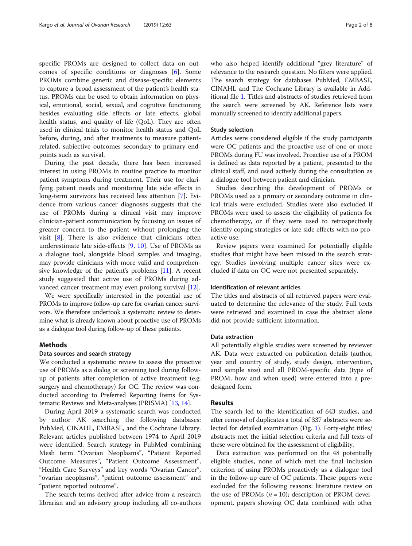specific PROMs are designed to collect data on outcomes of specific conditions or diagnoses [\[6](#page-6-0)]. Some PROMs combine generic and disease-specific elements to capture a broad assessment of the patient's health status. PROMs can be used to obtain information on physical, emotional, social, sexual, and cognitive functioning besides evaluating side effects or late effects, global health status, and quality of life (QoL). They are often used in clinical trials to monitor health status and QoL before, during, and after treatments to measure patientrelated, subjective outcomes secondary to primary endpoints such as survival.

During the past decade, there has been increased interest in using PROMs in routine practice to monitor patient symptoms during treatment. Their use for clarifying patient needs and monitoring late side effects in long-term survivors has received less attention [\[7](#page-6-0)]. Evidence from various cancer diagnoses suggests that the use of PROMs during a clinical visit may improve clinician-patient communication by focusing on issues of greater concern to the patient without prolonging the visit [\[8](#page-6-0)]. There is also evidence that clinicians often underestimate late side-effects [\[9,](#page-6-0) [10](#page-6-0)]. Use of PROMs as a dialogue tool, alongside blood samples and imaging, may provide clinicians with more valid and comprehensive knowledge of the patient's problems [[11\]](#page-6-0). A recent study suggested that active use of PROMs during advanced cancer treatment may even prolong survival [[12](#page-6-0)].

We were specifically interested in the potential use of PROMs to improve follow-up care for ovarian cancer survivors. We therefore undertook a systematic review to determine what is already known about proactive use of PROMs as a dialogue tool during follow-up of these patients.

#### Methods

### Data sources and search strategy

We conducted a systematic review to assess the proactive use of PROMs as a dialog or screening tool during followup of patients after completion of active treatment (e.g. surgery and chemotherapy) for OC. The review was conducted according to Preferred Reporting Items for Systematic Reviews and Meta-analyses (PRISMA) [[13](#page-6-0), [14\]](#page-6-0).

During April 2019 a systematic search was conducted by author AK searching the following databases: PubMed, CINAHL, EMBASE, and the Cochrane Library. Relevant articles published between 1974 to April 2019 were identified. Search strategy in PubMed combining Mesh term "Ovarian Neoplasms", "Patient Reported Outcome Measures", "Patient Outcome Assessment", "Health Care Surveys" and key words "Ovarian Cancer", "ovarian neoplasms", "patient outcome assessment" and "patient reported outcome".

The search terms derived after advice from a research librarian and an advisory group including all co-authors who also helped identify additional "grey literature" of relevance to the research question. No filters were applied. The search strategy for databases PubMed, EMBASE, CINAHL and The Cochrane Library is available in Additional file [1.](#page-5-0) Titles and abstracts of studies retrieved from the search were screened by AK. Reference lists were manually screened to identify additional papers.

#### Study selection

Articles were considered eligible if the study participants were OC patients and the proactive use of one or more PROMs during FU was involved. Proactive use of a PROM is defined as data reported by a patient, presented to the clinical staff, and used actively during the consultation as a dialogue tool between patient and clinician.

Studies describing the development of PROMs or PROMs used as a primary or secondary outcome in clinical trials were excluded. Studies were also excluded if PROMs were used to assess the eligibility of patients for chemotherapy, or if they were used to retrospectively identify coping strategies or late side effects with no proactive use.

Review papers were examined for potentially eligible studies that might have been missed in the search strategy. Studies involving multiple cancer sites were excluded if data on OC were not presented separately.

#### Identification of relevant articles

The titles and abstracts of all retrieved papers were evaluated to determine the relevance of the study. Full texts were retrieved and examined in case the abstract alone did not provide sufficient information.

### Data extraction

All potentially eligible studies were screened by reviewer AK. Data were extracted on publication details (author, year and country of study, study design, intervention, and sample size) and all PROM-specific data (type of PROM, how and when used) were entered into a predesigned form.

#### Results

The search led to the identification of 643 studies, and after removal of duplicates a total of 337 abstracts were selected for detailed examination (Fig. [1\)](#page-2-0). Forty-eight titles/ abstracts met the initial selection criteria and full texts of these were obtained for the assessment of eligibility.

Data extraction was performed on the 48 potentially eligible studies, none of which met the final inclusion criterion of using PROMs proactively as a dialogue tool in the follow-up care of OC patients. These papers were excluded for the following reasons: literature review on the use of PROMs  $(n = 10)$ ; description of PROM development, papers showing OC data combined with other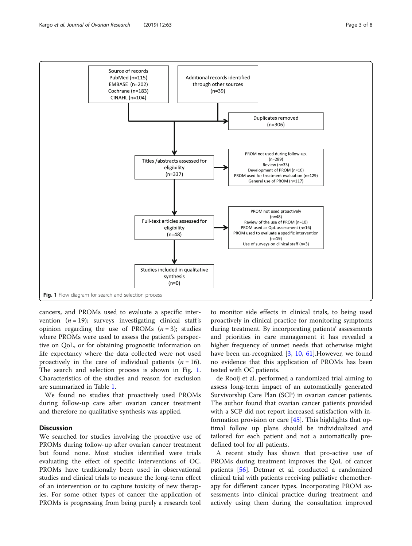<span id="page-2-0"></span>

cancers, and PROMs used to evaluate a specific intervention  $(n = 19)$ ; surveys investigating clinical staff's opinion regarding the use of PROMs  $(n=3)$ ; studies where PROMs were used to assess the patient's perspective on QoL, or for obtaining prognostic information on life expectancy where the data collected were not used proactively in the care of individual patients  $(n = 16)$ . The search and selection process is shown in Fig. 1. Characteristics of the studies and reason for exclusion are summarized in Table [1.](#page-3-0)

We found no studies that proactively used PROMs during follow-up care after ovarian cancer treatment and therefore no qualitative synthesis was applied.

# **Discussion**

We searched for studies involving the proactive use of PROMs during follow-up after ovarian cancer treatment but found none. Most studies identified were trials evaluating the effect of specific interventions of OC. PROMs have traditionally been used in observational studies and clinical trials to measure the long-term effect of an intervention or to capture toxicity of new therapies. For some other types of cancer the application of PROMs is progressing from being purely a research tool

to monitor side effects in clinical trials, to being used proactively in clinical practice for monitoring symptoms during treatment. By incorporating patients' assessments and priorities in care management it has revealed a higher frequency of unmet needs that otherwise might have been un-recognized [[3,](#page-6-0) [10,](#page-6-0) [61](#page-7-0)].However, we found no evidence that this application of PROMs has been tested with OC patients.

de Rooij et al. performed a randomized trial aiming to assess long-term impact of an automatically generated Survivorship Care Plan (SCP) in ovarian cancer patients. The author found that ovarian cancer patients provided with a SCP did not report increased satisfaction with information provision or care [[45](#page-7-0)]. This highlights that optimal follow up plans should be individualized and tailored for each patient and not a automatically predefined tool for all patients.

A recent study has shown that pro-active use of PROMs during treatment improves the QoL of cancer patients [[56\]](#page-7-0). Detmar et al. conducted a randomized clinical trial with patients receiving palliative chemotherapy for different cancer types. Incorporating PROM assessments into clinical practice during treatment and actively using them during the consultation improved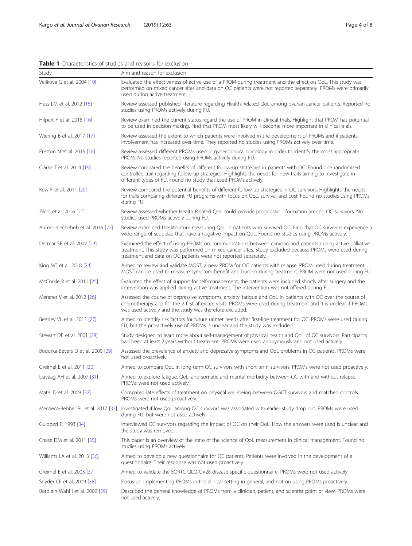# <span id="page-3-0"></span>Table 1 Characteristics of studies and reasons for exclusion

| Study                               | Aim and reason for exclusion                                                                                                                                                                                                                                                                 |
|-------------------------------------|----------------------------------------------------------------------------------------------------------------------------------------------------------------------------------------------------------------------------------------------------------------------------------------------|
| Velikova G et al. 2004 [10]         | Evaluated the effectiveness of active use of a PROM during treatment and the effect on QoL. This study was<br>performed on mixed cancer sites and data on OC patients were not reported separately. PROMs were primarily<br>used during active treatment.                                    |
| Hess LM et al. 2012 [15]            | Review assessed published literature regarding Health Related QoL among ovarian cancer patients. Reported no<br>studies using PROMs actively during FU.                                                                                                                                      |
| Hilpert F et al. 2018 [16]          | Review examined the current status regard the use of PROM in clinical trials. Highlight that PROM has potential<br>to be used in decision making. Find that PROM most likely will become more important in clinical trials.                                                                  |
| Wiering B et al. 2017 [17]          | Review assessed the extent to which patients were involved in the development of PROMs and if patients<br>involvement has increased over time. They reported no studies using PROMs actively over time.                                                                                      |
| Preston N et al. 2015 [18]          | Review assessed different PROMs used in gynecological oncology in order to identify the most appropriate<br>PROM. No studies reported using PROMs actively during FU.                                                                                                                        |
| Clarke T et al. 2014 [19]           | Review compared the benefits of different follow-up strategies in patients with OC. Found one randomized<br>controlled trail regarding follow-up strategies. Highlights the needs for new trails aiming to investigate in<br>different types of FU. Found no study that used PROMs actively. |
| Kew F et al. 2011 [20]              | Review compared the potential benefits of different follow-up strategies in OC survivors. Highlights the needs<br>for trails comparing different FU programs with focus on QoL, survival and cost. Found no studies using PROMs<br>during FU.                                                |
| Zikos et al. 2016 [21]              | Review assessed whether Health Related QoL could provide prognostic information among OC survivors. No<br>studies used PROMs actively during FU.                                                                                                                                             |
| Ahmed-Lecheheb et al. 2016 [22]     | Review examined the literature measuring QoL in patients who survived OC. Find that OC survivors experience a<br>wide range of sequelae that have a negative impact on QoL. Found no studies using PROMs actively.                                                                           |
| Detmar SB et al. 2002 [23]          | Examined the effect of using PROMs on communications between clinician and patients during active palliative<br>treatment. This study was performed on mixed cancer sites. Study excluded because PROMs were used during<br>treatment and data on OC patients were not reported separately.  |
| King MT et al. 2018 [24]            | Aimed to review and validate MOST, a new PROM for OC patients with relapse. PROM used during treatment.<br>MOST can be used to measure symptom benefit and burden during treatment. PROM were not used during FU.                                                                            |
| McCorkle R et al. 2011 [25]         | Evaluated the effect of support for self-management; the patients were included shortly after surgery and the<br>intervention was applied during active treatment. The intervention was not offered during FU.                                                                               |
| Meraner V et al. 2012 [26]          | Assessed the course of depressive symptoms, anxiety, fatigue and QoL in patients with OC over the course of<br>chemotherapy and for the 2 first aftercare visits. PROMs were used during treatment and it is unclear if PROMs<br>was used actively and the study was therefore excluded.     |
| Beesley VL et al. 2013 [27]         | Aimed to identify risk factors for future unmet needs after first-line treatment for OC. PROMs were used during<br>FU, but the pro-actively use of PROMs is unclear and the study was excluded.                                                                                              |
| Stewart DE et al. 2001 [28]         | Study designed to learn more about self-management of physical health and QoL of OC survivors. Participants<br>had been at least 2 years without treatment. PROMs were used anonymously and not used actively.                                                                               |
| Bodurka-Bevers D et al. 2000 [29]   | Assessed the prevalence of anxiety and depressive symptoms and QoL problems in OC patients. PROMs were<br>not used proactively.                                                                                                                                                              |
| Greimel E et al. 2011 [30]          | Aimed to compare QoL in long-term OC survivors with short-term survivors. PROMs were not used proactively.                                                                                                                                                                                   |
| Liavaag AH et al. 2007 [31]         | Aimed to explore fatigue, QoL, and somatic and mental morbidity between OC with and without relapse.<br>PROMs were not used actively.                                                                                                                                                        |
| Matei D et al. 2009 [32]            | Compared late effects of treatment on physical well-being between OGCT survivors and matched controls.<br>PROMs were not used proactively.                                                                                                                                                   |
| Mercieca-Bebber RL et al. 2017 [33] | Investigated if low QoL among OC survivors was associated with earlier study drop out. PROMs were used<br>during FU, but were not used actively.                                                                                                                                             |
| Guidozzi F. 1993 [34]               | Interviewed OC survivors regarding the impact of OC on their QoL. How the answers were used is unclear and<br>the study was removed.                                                                                                                                                         |
| Chase DM et al. 2011 [35]           | This paper is an overview of the state of the science of QoL measurement in clinical management. Found no<br>studies using PROMs actively.                                                                                                                                                   |
| Williams LA et al. 2013 [36]        | Aimed to develop a new questionnaire for OC patients. Patients were involved in the development of a<br>questionnaire. Their response was not used proactively.                                                                                                                              |
| Greimel E et al. 2003 [37]          | Aimed to validate the EORTC QLQ-OV28 disease-specific questionnaire. PROMs were not used actively.                                                                                                                                                                                           |
| Snyder CF et al. 2009 [38]          | Focus on implementing PROMs in the clinical setting in general, and not on using PROMs proactively.                                                                                                                                                                                          |
| Bördlein-Wahl I et al. 2009 [39]    | Described the general knowledge of PROMs from a clinician, patient, and scientist point of view. PROMs were<br>not used actively.                                                                                                                                                            |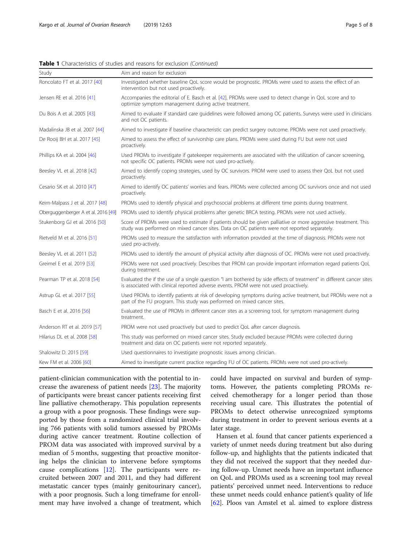Table 1 Characteristics of studies and reasons for exclusion (Continued)

| Study                               | Aim and reason for exclusion                                                                                                                                                                                   |
|-------------------------------------|----------------------------------------------------------------------------------------------------------------------------------------------------------------------------------------------------------------|
| Roncolato FT et al. 2017 [40]       | Investigated whether baseline QoL score would be prognostic. PROMs were used to assess the effect of an<br>intervention but not used proactively.                                                              |
| Jensen RE et al. 2016 [41]          | Accompanies the editorial of E. Basch et al. [42]. PROMs were used to detect change in QoL score and to<br>optimize symptom management during active treatment.                                                |
| Du Bois A et al. 2005 [43]          | Aimed to evaluate if standard care quidelines were followed among OC patients. Surveys were used in clinicians<br>and not OC patients.                                                                         |
| Madalinska JB et al. 2007 [44]      | Aimed to investigate if baseline characteristic can predict surgery outcome. PROMs were not used proactively.                                                                                                  |
| De Rooij BH et al. 2017 [45]        | Aimed to assess the effect of survivorship care plans. PROMs were used during FU but were not used<br>proactively.                                                                                             |
| Phillips KA et al. 2004 [46]        | Used PROMs to investigate if gatekeeper requirements are associated with the utilization of cancer screening,<br>not specific OC patients. PROMs were not used pro-actively.                                   |
| Beesley VL et al. 2018 [42]         | Aimed to identify coping strategies, used by OC survivors. PROM were used to assess their QoL but not used<br>proactively.                                                                                     |
| Cesario SK et al. 2010 [47]         | Aimed to identify OC patients' worries and fears. PROMs were collected among OC survivors once and not used<br>proactively.                                                                                    |
| Keim-Malpass J et al. 2017 [48]     | PROMs used to identify physical and psychosocial problems at different time points during treatment.                                                                                                           |
| Oberguggenberger A et al. 2016 [49] | PROMs used to identify physical problems after genetic BRCA testing. PROMs were not used actively.                                                                                                             |
| Stukenborg GJ et al. 2016 [50]      | Score of PROMs were used to estimate if patients should be given palliative or more aggressive treatment. This<br>study was performed on mixed cancer sites. Data on OC patients were not reported separately. |
| Rietveld M et al. 2016 [51]         | PROMs used to measure the satisfaction with information provided at the time of diagnosis. PROMs were not<br>used pro-actively.                                                                                |
| Beesley VL et al. 2011 [52]         | PROMs used to identify the amount of physical activity after diagnosis of OC. PROMs were not used proactively.                                                                                                 |
| Greimel E et al. 2019 [53]          | PROMs were not used proactively. Describes that PROM can provide important information regard patients QoL<br>during treatment.                                                                                |
| Pearman TP et al. 2018 [54]         | Evaluated the if the use of a single question "I am bothered by side effects of treatment" in different cancer sites<br>is associated with clinical reported adverse events. PROM were not used proactively.   |
| Astrup GL et al. 2017 [55]          | Used PROMs to identify patients at risk of developing symptoms during active treatment, but PROMs were not a<br>part of the FU program. This study was performed on mixed cancer sites.                        |
| Basch E et al. 2016 [56]            | Evaluated the use of PROMs in different cancer sites as a screening tool, for symptom management during<br>treatment.                                                                                          |
| Anderson RT et al. 2019 [57]        | PROM were not used proactively but used to predict QoL after cancer diagnosis.                                                                                                                                 |
| Hilarius DL et al. 2008 [58]        | This study was performed on mixed cancer sites. Study excluded because PROMs were collected during<br>treatment and data on OC patients were not reported separately.                                          |
| Shalowitz D. 2015 [59]              | Used questionnaires to investigate prognostic issues among clinician.                                                                                                                                          |
| Kew FM et al. 2006 [60]             | Aimed to investigate current practice regarding FU of OC patients. PROMs were not used pro-actively.                                                                                                           |

patient-clinician communication with the potential to increase the awareness of patient needs [[23](#page-6-0)]. The majority of participants were breast cancer patients receiving first line palliative chemotherapy. This population represents a group with a poor prognosis. These findings were supported by those from a randomized clinical trial involving 766 patients with solid tumors assessed by PROMs during active cancer treatment. Routine collection of PROM data was associated with improved survival by a median of 5 months, suggesting that proactive monitoring helps the clinician to intervene before symptoms cause complications [[12\]](#page-6-0). The participants were recruited between 2007 and 2011, and they had different metastatic cancer types (mainly genitourinary cancer), with a poor prognosis. Such a long time frame for enrollment may have involved a change of treatment, which could have impacted on survival and burden of symptoms. However, the patients completing PROMs received chemotherapy for a longer period than those receiving usual care. This illustrates the potential of PROMs to detect otherwise unrecognized symptoms during treatment in order to prevent serious events at a later stage.

Hansen et al. found that cancer patients experienced a variety of unmet needs during treatment but also during follow-up, and highlights that the patients indicated that they did not received the support that they needed during follow-up. Unmet needs have an important influence on QoL and PROMs used as a screening tool may reveal patients' perceived unmet need. Interventions to reduce these unmet needs could enhance patient's quality of life [[62\]](#page-7-0). Ploos van Amstel et al. aimed to explore distress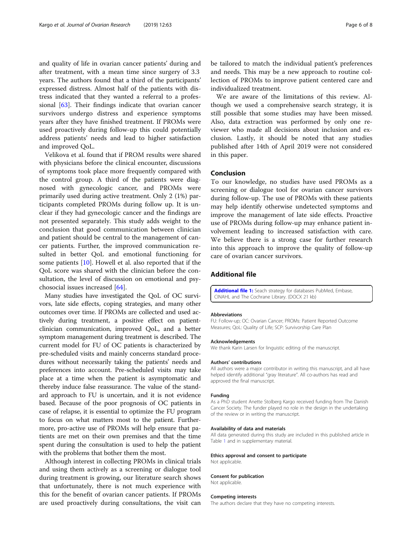<span id="page-5-0"></span>and quality of life in ovarian cancer patients' during and after treatment, with a mean time since surgery of 3.3 years. The authors found that a third of the participants' expressed distress. Almost half of the patients with distress indicated that they wanted a referral to a professional [\[63](#page-7-0)]. Their findings indicate that ovarian cancer survivors undergo distress and experience symptoms years after they have finished treatment. If PROMs were used proactively during follow-up this could potentially address patients' needs and lead to higher satisfaction and improved QoL.

Velikova et al. found that if PROM results were shared with physicians before the clinical encounter, discussions of symptoms took place more frequently compared with the control group. A third of the patients were diagnosed with gynecologic cancer, and PROMs were primarily used during active treatment. Only 2 (1%) participants completed PROMs during follow up. It is unclear if they had gynecologic cancer and the findings are not presented separately. This study adds weight to the conclusion that good communication between clinician and patient should be central to the management of cancer patients. Further, the improved communication resulted in better QoL and emotional functioning for some patients [[10\]](#page-6-0). Howell et al. also reported that if the QoL score was shared with the clinician before the consultation, the level of discussion on emotional and psychosocial issues increased [\[64](#page-7-0)].

Many studies have investigated the QoL of OC survivors, late side effects, coping strategies, and many other outcomes over time. If PROMs are collected and used actively during treatment, a positive effect on patientclinician communication, improved QoL, and a better symptom management during treatment is described. The current model for FU of OC patients is characterized by pre-scheduled visits and mainly concerns standard procedures without necessarily taking the patients' needs and preferences into account. Pre-scheduled visits may take place at a time when the patient is asymptomatic and thereby induce false reassurance. The value of the standard approach to FU is uncertain, and it is not evidence based. Because of the poor prognosis of OC patients in case of relapse, it is essential to optimize the FU program to focus on what matters most to the patient. Furthermore, pro-active use of PROMs will help ensure that patients are met on their own premises and that the time spent during the consultation is used to help the patient with the problems that bother them the most.

Although interest in collecting PROMs in clinical trials and using them actively as a screening or dialogue tool during treatment is growing, our literature search shows that unfortunately, there is not much experience with this for the benefit of ovarian cancer patients. If PROMs are used proactively during consultations, the visit can

be tailored to match the individual patient's preferences and needs. This may be a new approach to routine collection of PROMs to improve patient centered care and individualized treatment.

We are aware of the limitations of this review. Although we used a comprehensive search strategy, it is still possible that some studies may have been missed. Also, data extraction was performed by only one reviewer who made all decisions about inclusion and exclusion. Lastly, it should be noted that any studies published after 14th of April 2019 were not considered in this paper.

## Conclusion

To our knowledge, no studies have used PROMs as a screening or dialogue tool for ovarian cancer survivors during follow-up. The use of PROMs with these patients may help identify otherwise undetected symptoms and improve the management of late side effects. Proactive use of PROMs during follow-up may enhance patient involvement leading to increased satisfaction with care. We believe there is a strong case for further research into this approach to improve the quality of follow-up care of ovarian cancer survivors.

# Additional file

[Additional file 1:](https://doi.org/10.1186/s13048-019-0538-9) Seach strategy for databases PubMed, Embase, CINAHL and The Cochrane Library. (DOCX 21 kb)

#### Abbreviations

FU: Follow-up; OC: Ovarian Cancer; PROMs: Patient Reported Outcome Measures; QoL: Quality of Life; SCP: Survivorship Care Plan

#### Acknowledgements

We thank Karin Larsen for linguistic editing of the manuscript.

#### Authors' contributions

All authors were a major contributor in writing this manuscript, and all have helped identify additional "gray literature". All co-authors has read and approved the final manuscript.

#### Funding

As a PhD student Anette Stolberg Kargo received funding from The Danish Cancer Society. The funder played no role in the design in the undertaking of the review or in writing the manuscript.

#### Availability of data and materials

All data generated during this study are included in this published article in Table [1](#page-3-0) and in supplementary material.

#### Ethics approval and consent to participate

Not applicable.

#### Consent for publication

Not applicable.

#### Competing interests

The authors declare that they have no competing interests.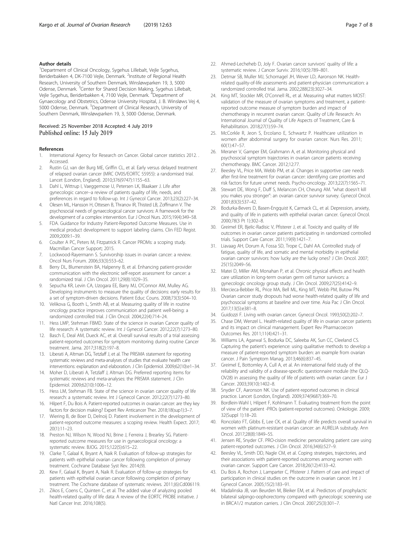### <span id="page-6-0"></span>Author details

<sup>1</sup>Department of Clinical Oncology, Sygehus Lillebalt, Vejle Sygehus, Beriderbakken 4, DK-7100 Vejle, Denmark. <sup>2</sup>Institute of Regional Health Research, University of Southern Denmark, Winsløwparken 19, 3, 5000 Odense, Denmark. <sup>3</sup>Center for Shared Decision Making, Sygehus Lillebalt, Vejle Sygehus, Beriderbakken 4, 7100 Vejle, Denmark. <sup>4</sup>Department of Gynaecology and Obstetrics, Odense University Hospital, J. B. Winsløws Vej 4, 5000 Odense, Denmark. <sup>5</sup>Department of Clinical Research, University of Southern Denmark, Winsløwparken 19, 3, 5000 Odense, Denmark.

#### Received: 25 November 2018 Accepted: 4 July 2019 Published online: 15 July 2019

#### References

- 1. International Agency for Research on Cancer. Global cancer statistics 2012. . Accessed.
- 2. Rustin GJ, van der Burg ME, Griffin CL, et al. Early versus delayed treatment of relapsed ovarian cancer (MRC OV05/EORTC 55955): a randomised trial. Lancet (London, England). 2010;376(9747):1155–63.
- 3. Dahl L, Wittrup I, Vaeggemose U, Petersen LK, Blaakaer J. Life after gynecologic cancer--a review of patients quality of life, needs, and preferences in regard to follow-up. Int J Gynecol Cancer. 2013;23(2):227–34.
- 4. Olesen ML, Hansson H, Ottesen B, Thranov IR, Thisted LB, Zoffmann V. The psychosocial needs of gynaecological cancer survivors: A framework for the development of a complex intervention. Eur J Oncol Nurs. 2015;19(4):349–58.
- 5. FDA. Guidance for Industry Patient-Reported Outcome Measures. Use in medical product development to support labeling claims. Clin FED Regist. 2009;2009:1–39.
- 6. Coulter A PC, Peters M, Fitzpatrick R. Cancer PROMs: a scoping study. Macmillan Cancer Support; 2015.
- 7. Lockwood-Rayermann S. Survivorship issues in ovarian cancer: a review. Oncol Nurs Forum. 2006;33(3):553–62.
- 8. Berry DL, Blumenstein BA, Halpenny B, et al. Enhancing patient-provider communication with the electronic self-report assessment for cancer: a randomized trial. J Clin Oncol. 2011;29(8):1029–35.
- 9. Sepucha KR, Levin CA, Uzogara EE, Barry MJ, O'Connor AM, Mulley AG. Developing instruments to measure the quality of decisions: early results for a set of symptom-driven decisions. Patient Educ Couns. 2008;73(3):504–10.
- 10. Velikova G, Booth L, Smith AB, et al. Measuring quality of life in routine oncology practice improves communication and patient well-being: a randomized controlled trial. J Clin Oncol. 2004;22(4):714–24.
- 11. Hess LMP, Stehman FBMD. State of the science in ovarian Cancer quality of life research: A systematic review. Int J Gynecol Cancer. 2012;22(7):1273–80.
- 12. Basch E, Deal AM, Dueck AC, et al. Overall survival results of a trial assessing patient-reported outcomes for symptom monitoring during routine Cancer treatment. Jama. 2017;318(2):197–8.
- 13. Liberati A, Altman DG, Tetzlaff J, et al. The PRISMA statement for reporting systematic reviews and meta-analyses of studies that evaluate health care interventions: explanation and elaboration. J Clin Epidemiol. 2009;62(10):e1–34.
- 14. Moher D, Liberati A, Tetzlaff J, Altman DG. Preferred reporting items for systematic reviews and meta-analyses: the PRISMA statement. J Clin Epidemiol. 2009;62(10):1006–12.
- 15. Hess LM, Stehman FB. State of the science in ovarian cancer quality of life research: a systematic review. Int J Gynecol Cancer. 2012;22(7):1273–80.
- 16. Hilpert F, Du Bois A. Patient-reported outcomes in ovarian cancer: are they key factors for decision making? Expert Rev Anticancer Ther. 2018;18(sup1):3–7.
- 17. Wiering B, de Boer D, Delnoij D. Patient involvement in the development of patient-reported outcome measures: a scoping review. Health Expect. 2017; 20(1):11–23.
- 18. Preston NJ, Wilson N, Wood NJ, Brine J, Ferreira J, Brearley SG. Patientreported outcome measures for use in gynaecological oncology: a systematic review. BJOG. 2015;122(5):615–22.
- 19. Clarke T, Galaal K, Bryant A, Naik R. Evaluation of follow-up strategies for patients with epithelial ovarian cancer following completion of primary treatment. Cochrane Database Syst Rev. 2014;(9).
- 20. Kew F, Galaal K, Bryant A, Naik R. Evaluation of follow-up strategies for patients with epithelial ovarian cancer following completion of primary treatment. The Cochrane database of systematic reviews. 2011;(6):Cd006119.
- 21. Zikos E, Coens C, Quinten C, et al. The added value of analyzing pooled health-related quality of life data: A review of the EORTC PROBE initiative. J Natl Cancer Inst. 2016;108(5).
- 22. Ahmed-Lecheheb D, Joly F. Ovarian cancer survivors' quality of life: a systematic review. J Cancer Surviv. 2016;10(5):789–801.
- 23. Detmar SB, Muller MJ, Schornagel JH, Wever LD, Aaronson NK. Healthrelated quality-of-life assessments and patient-physician communication: a randomized controlled trial. Jama. 2002;288(23):3027–34.
- 24. King MT, Stockler MR, O'Connell RL, et al. Measuring what matters MOST: validation of the measure of ovarian symptoms and treatment, a patientreported outcome measure of symptom burden and impact of chemotherapy in recurrent ovarian cancer. Quality of Life Research: An International Journal of Quality of Life Aspects of Treatment, Care & Rehabilitation. 2018;27(1):59–74.
- 25. McCorkle R, Jeon S, Ercolano E, Schwartz P. Healthcare utilization in women after abdominal surgery for ovarian cancer. Nurs Res. 2011; 60(1):47–57.
- 26. Meraner V, Gamper EM, Grahmann A, et al. Monitoring physical and psychosocial symptom trajectories in ovarian cancer patients receiving chemotherapy. BMC Cancer. 2012;12:77.
- 27. Beesley VL, Price MA, Webb PM, et al. Changes in supportive care needs after first-line treatment for ovarian cancer: identifying care priorities and risk factors for future unmet needs. Psycho-oncology. 2013;22(7):1565–71.
- 28. Stewart DE, Wong F, Duff S, Melancon CH, Cheung AM. "what doesn't kill you makes you stronger": an ovarian cancer survivor survey. Gynecol Oncol. 2001;83(3):537–42.
- 29. Bodurka-Bevers D, Basen-Engquist K, Carmack CL, et al. Depression, anxiety, and quality of life in patients with epithelial ovarian cancer. Gynecol Oncol. 2000;78(3 Pt 1):302–8.
- 30. Greimel ER, Bjelic-Radisic V, Pfisterer J, et al. Toxicity and quality of life outcomes in ovarian cancer patients participating in randomized controlled trials. Support Care Cancer. 2011;19(9):1421–7.
- 31. Liavaag AH, Dorum A, Fossa SD, Trope C, Dahl AA. Controlled study of fatigue, quality of life, and somatic and mental morbidity in epithelial ovarian cancer survivors: how lucky are the lucky ones? J Clin Oncol. 2007; 25(15):2049–56.
- 32. Matei D, Miller AM, Monahan P, et al. Chronic physical effects and health care utilization in long-term ovarian germ cell tumor survivors: a gynecologic oncology group study. J Clin Oncol. 2009;27(25):4142–9.
- 33. Mercieca-Bebber RL, Price MA, Bell ML, King MT, Webb PM, Butow PN. Ovarian cancer study dropouts had worse health-related quality of life and psychosocial symptoms at baseline and over time. Asia Pac J Clin Oncol. 2017;13(5):e381–8.
- 34. Guidozzi F. Living with ovarian cancer. Gynecol Oncol. 1993;50(2):202–7.
- 35. Chase DM, Wenzel L. Health-related quality of life in ovarian cancer patients and its impact on clinical management. Expert Rev Pharmacoecon Outcomes Res. 2011;11(4):421–31.
- 36. Williams LA, Agarwal S, Bodurka DC, Saleeba AK, Sun CC, Cleeland CS. Capturing the patient's experience: using qualitative methods to develop a measure of patient-reported symptom burden: an example from ovarian cancer. J Pain Symptom Manag. 2013;46(6):837–45.
- 37. Greimel E, Bottomley A, Cull A, et al. An international field study of the reliability and validity of a disease-specific questionnaire module (the QLQ-OV28) in assessing the quality of life of patients with ovarian cancer. Eur J Cancer. 2003;39(10):1402–8.
- 38. Snyder CF, Aaronson NK. Use of patient-reported outcomes in clinical practice. Lancet (London, England). 2009;374(9687):369–70.
- 39. Bordlein-Wahl I, Hilpert F, Kohlmann T. Evaluating treatment from the point of view of the patient -PROs (patient-reported outcomes). Onkologie. 2009; 32(Suppl 1):18–20.
- 40. Roncolato FT, Gibbs E, Lee CK, et al. Quality of life predicts overall survival in women with platinum-resistant ovarian cancer: an AURELIA substudy. Ann Oncol. 2017;28(8):1849–55.
- 41. Jensen RE, Snyder CF. PRO-cision medicine: personalizing patient care using patient-reported outcomes. J Clin Oncol. 2016;34(6):527–9.
- 42. Beesley VL, Smith DD, Nagle CM, et al. Coping strategies, trajectories, and their associations with patient-reported outcomes among women with ovarian cancer. Support Care Cancer. 2018;26(12):4133–42.
- 43. Du Bois A, Rochon J, Lamparter C, Pfisterer J. Pattern of care and impact of participation in clinical studies on the outcome in ovarian cancer. Int J Gynecol Cancer. 2005;15(2):183–91.
- 44. Madalinska JB, van Beurden M, Bleiker EM, et al. Predictors of prophylactic bilateral salpingo-oophorectomy compared with gynecologic screening use in BRCA1/2 mutation carriers. J Clin Oncol. 2007;25(3):301–7.